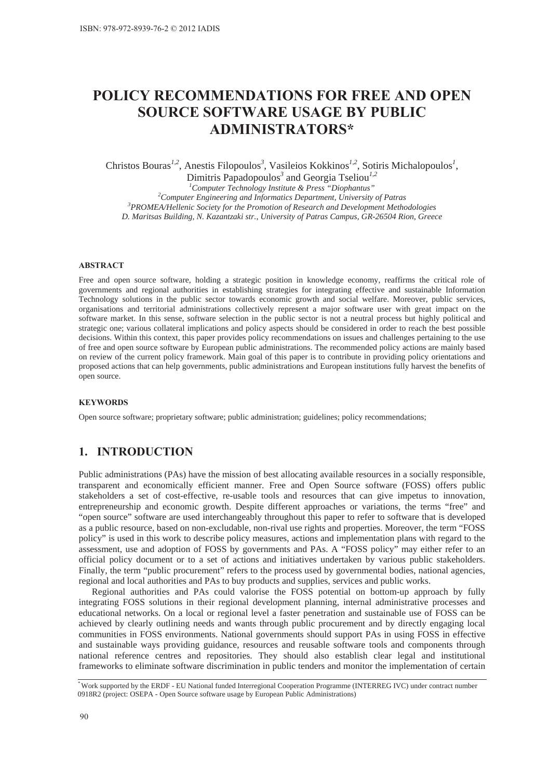# **POLICY RECOMMENDATIONS FOR FREE AND OPEN 628 SOURCE SOFTWARE USAGE BY PUBLIC ADMINISTRATORS\***

Christos Bouras<sup>1,2</sup>, Anestis Filopoulos<sup>3</sup>, Vasileios Kokkinos<sup>1,2</sup>, Sotiris Michalopoulos<sup>1</sup>,

Dimitris Papadopoulos*<sup>3</sup>* and Georgia Tseliou*1,2*

*1 Computer Technology Institute & Press "Diophantus" 2* <sup>2</sup> Computer Engineering and Informatics Department, University of Patras *PROMEA/Hellenic Society for the Promotion of Research and Development Methodologies D. Maritsas Building, N. Kazantzaki str., University of Patras Campus, GR-26504 Rion, Greece* 

#### $ABSTRACT$

Free and open source software, holding a strategic position in knowledge economy, reaffirms the critical role of governments and regional authorities in establishing strategies for integrating effective and sustainable Information Technology solutions in the public sector towards economic growth and social welfare. Moreover, public services, organisations and territorial administrations collectively represent a major software user with great impact on the software market. In this sense, software selection in the public sector is not a neutral process but highly political and strategic one; various collateral implications and policy aspects should be considered in order to reach the best possible decisions. Within this context, this paper provides policy recommendations on issues and challenges pertaining to the use of free and open source software by European public administrations. The recommended policy actions are mainly based on review of the current policy framework. Main goal of this paper is to contribute in providing policy orientations and proposed actions that can help governments, public administrations and European institutions fully harvest the benefits of open source.

#### **KEYWORDS**

Open source software; proprietary software; public administration; guidelines; policy recommendations;

# **1. INTRODUCTION**

Public administrations (PAs) have the mission of best allocating available resources in a socially responsible, transparent and economically efficient manner. Free and Open Source software (FOSS) offers public stakeholders a set of cost-effective, re-usable tools and resources that can give impetus to innovation, entrepreneurship and economic growth. Despite different approaches or variations, the terms "free" and "open source" software are used interchangeably throughout this paper to refer to software that is developed as a public resource, based on non-excludable, non-rival use rights and properties. Moreover, the term "FOSS policy" is used in this work to describe policy measures, actions and implementation plans with regard to the assessment, use and adoption of FOSS by governments and PAs. A "FOSS policy" may either refer to an official policy document or to a set of actions and initiatives undertaken by various public stakeholders. Finally, the term "public procurement" refers to the process used by governmental bodies, national agencies, regional and local authorities and PAs to buy products and supplies, services and public works.

Regional authorities and PAs could valorise the FOSS potential on bottom-up approach by fully integrating FOSS solutions in their regional development planning, internal administrative processes and educational networks. On a local or regional level a faster penetration and sustainable use of FOSS can be achieved by clearly outlining needs and wants through public procurement and by directly engaging local communities in FOSS environments. National governments should support PAs in using FOSS in effective and sustainable ways providing guidance, resources and reusable software tools and components through national reference centres and repositories. They should also establish clear legal and institutional frameworks to eliminate software discrimination in public tenders and monitor the implementation of certain

*<sup>\*</sup>* Work supported by the ERDF - EU National funded Interregional Cooperation Programme (INTERREG IVC) under contract number 0918R2 (project: OSEPA - Open Source software usage by European Public Administrations)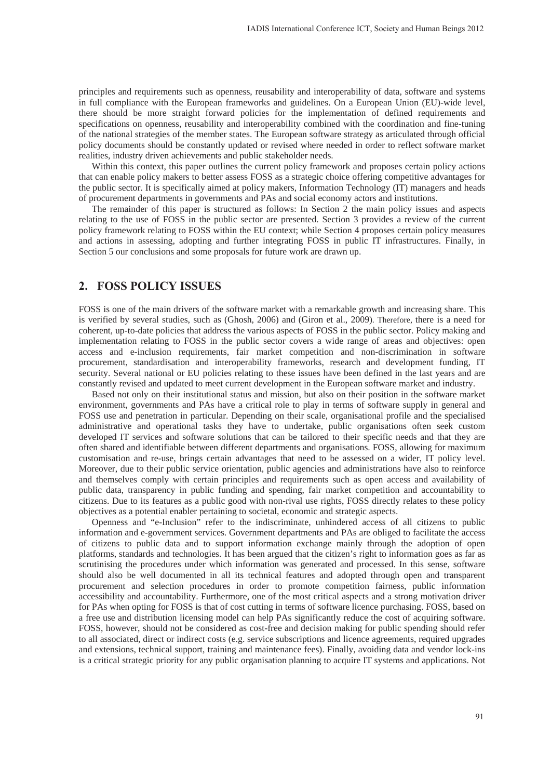principles and requirements such as openness, reusability and interoperability of data, software and systems in full compliance with the European frameworks and guidelines. On a European Union (EU)-wide level, there should be more straight forward policies for the implementation of defined requirements and specifications on openness, reusability and interoperability combined with the coordination and fine-tuning of the national strategies of the member states. The European software strategy as articulated through official policy documents should be constantly updated or revised where needed in order to reflect software market realities, industry driven achievements and public stakeholder needs.

Within this context, this paper outlines the current policy framework and proposes certain policy actions that can enable policy makers to better assess FOSS as a strategic choice offering competitive advantages for the public sector. It is specifically aimed at policy makers, Information Technology (IT) managers and heads of procurement departments in governments and PAs and social economy actors and institutions.

The remainder of this paper is structured as follows: In Section 2 the main policy issues and aspects relating to the use of FOSS in the public sector are presented. Section 3 provides a review of the current policy framework relating to FOSS within the EU context; while Section 4 proposes certain policy measures and actions in assessing, adopting and further integrating FOSS in public IT infrastructures. Finally, in Section 5 our conclusions and some proposals for future work are drawn up.

### **2. FOSS POLICY ISSUES**

FOSS is one of the main drivers of the software market with a remarkable growth and increasing share. This is verified by several studies, such as (Ghosh, 2006) and (Giron et al., 2009). Therefore, there is a need for coherent, up-to-date policies that address the various aspects of FOSS in the public sector. Policy making and implementation relating to FOSS in the public sector covers a wide range of areas and objectives: open access and e-inclusion requirements, fair market competition and non-discrimination in software procurement, standardisation and interoperability frameworks, research and development funding, IT security. Several national or EU policies relating to these issues have been defined in the last years and are constantly revised and updated to meet current development in the European software market and industry.

Based not only on their institutional status and mission, but also on their position in the software market environment, governments and PAs have a critical role to play in terms of software supply in general and FOSS use and penetration in particular. Depending on their scale, organisational profile and the specialised administrative and operational tasks they have to undertake, public organisations often seek custom developed IT services and software solutions that can be tailored to their specific needs and that they are often shared and identifiable between different departments and organisations. FOSS, allowing for maximum customisation and re-use, brings certain advantages that need to be assessed on a wider, IT policy level. Moreover, due to their public service orientation, public agencies and administrations have also to reinforce and themselves comply with certain principles and requirements such as open access and availability of public data, transparency in public funding and spending, fair market competition and accountability to citizens. Due to its features as a public good with non-rival use rights, FOSS directly relates to these policy objectives as a potential enabler pertaining to societal, economic and strategic aspects.

Openness and "e-Inclusion" refer to the indiscriminate, unhindered access of all citizens to public information and e-government services. Government departments and PAs are obliged to facilitate the access of citizens to public data and to support information exchange mainly through the adoption of open platforms, standards and technologies. It has been argued that the citizen's right to information goes as far as scrutinising the procedures under which information was generated and processed. In this sense, software should also be well documented in all its technical features and adopted through open and transparent procurement and selection procedures in order to promote competition fairness, public information accessibility and accountability. Furthermore, one of the most critical aspects and a strong motivation driver for PAs when opting for FOSS is that of cost cutting in terms of software licence purchasing. FOSS, based on a free use and distribution licensing model can help PAs significantly reduce the cost of acquiring software. FOSS, however, should not be considered as cost-free and decision making for public spending should refer to all associated, direct or indirect costs (e.g. service subscriptions and licence agreements, required upgrades and extensions, technical support, training and maintenance fees). Finally, avoiding data and vendor lock-ins is a critical strategic priority for any public organisation planning to acquire IT systems and applications. Not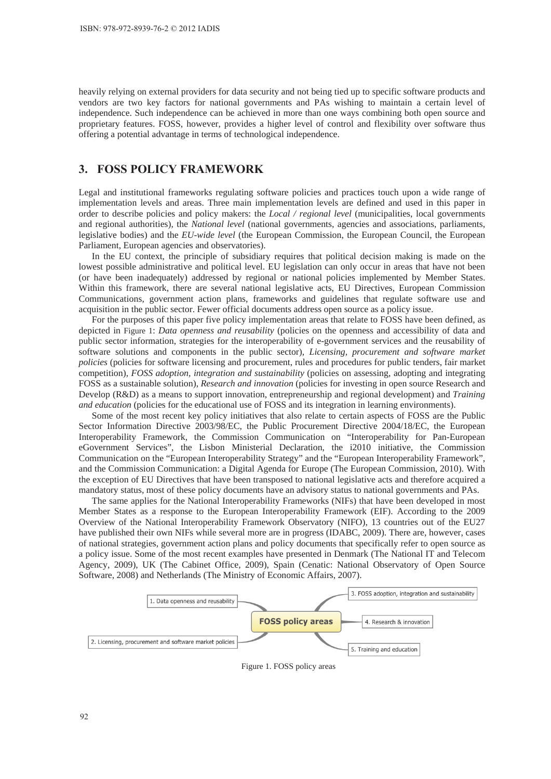heavily relying on external providers for data security and not being tied up to specific software products and vendors are two key factors for national governments and PAs wishing to maintain a certain level of independence. Such independence can be achieved in more than one ways combining both open source and proprietary features. FOSS, however, provides a higher level of control and flexibility over software thus offering a potential advantage in terms of technological independence.

# **3. FOSS POLICY FRAMEWORK**

Legal and institutional frameworks regulating software policies and practices touch upon a wide range of implementation levels and areas. Three main implementation levels are defined and used in this paper in order to describe policies and policy makers: the *Local / regional level* (municipalities, local governments and regional authorities), the *National level* (national governments, agencies and associations, parliaments, legislative bodies) and the *EU-wide level* (the European Commission, the European Council, the European Parliament, European agencies and observatories).

In the EU context, the principle of subsidiary requires that political decision making is made on the lowest possible administrative and political level. EU legislation can only occur in areas that have not been (or have been inadequately) addressed by regional or national policies implemented by Member States. Within this framework, there are several national legislative acts, EU Directives, European Commission Communications, government action plans, frameworks and guidelines that regulate software use and acquisition in the public sector. Fewer official documents address open source as a policy issue.

For the purposes of this paper five policy implementation areas that relate to FOSS have been defined, as depicted in Figure 1: *Data openness and reusability* (policies on the openness and accessibility of data and public sector information, strategies for the interoperability of e-government services and the reusability of software solutions and components in the public sector), *Licensing, procurement and software market policies* (policies for software licensing and procurement, rules and procedures for public tenders, fair market competition), *FOSS adoption, integration and sustainability* (policies on assessing, adopting and integrating FOSS as a sustainable solution), *Research and innovation* (policies for investing in open source Research and Develop (R&D) as a means to support innovation, entrepreneurship and regional development) and *Training and education* (policies for the educational use of FOSS and its integration in learning environments).

Some of the most recent key policy initiatives that also relate to certain aspects of FOSS are the Public Sector Information Directive 2003/98/EC, the Public Procurement Directive 2004/18/EC, the European Interoperability Framework, the Commission Communication on "Interoperability for Pan-European eGovernment Services", the Lisbon Ministerial Declaration, the i2010 initiative, the Commission Communication on the "European Interoperability Strategy" and the "European Interoperability Framework", and the Commission Communication: a Digital Agenda for Europe (The European Commission, 2010). With the exception of EU Directives that have been transposed to national legislative acts and therefore acquired a mandatory status, most of these policy documents have an advisory status to national governments and PAs.

The same applies for the National Interoperability Frameworks (NIFs) that have been developed in most Member States as a response to the European Interoperability Framework (EIF). According to the 2009 Overview of the National Interoperability Framework Observatory (NIFO), 13 countries out of the EU27 have published their own NIFs while several more are in progress (IDABC, 2009). There are, however, cases of national strategies, government action plans and policy documents that specifically refer to open source as a policy issue. Some of the most recent examples have presented in Denmark (The National IT and Telecom Agency, 2009), UK (The Cabinet Office, 2009), Spain (Cenatic: National Observatory of Open Source Software, 2008) and Netherlands (The Ministry of Economic Affairs, 2007).



Figure 1. FOSS policy areas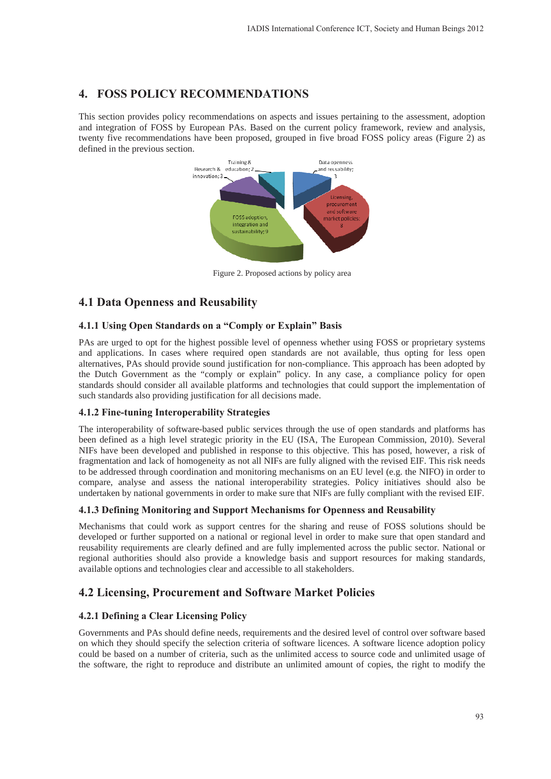# **4. FOSS POLICY RECOMMENDATIONS**

This section provides policy recommendations on aspects and issues pertaining to the assessment, adoption and integration of FOSS by European PAs. Based on the current policy framework, review and analysis, twenty five recommendations have been proposed, grouped in five broad FOSS policy areas (Figure 2) as defined in the previous section.



Figure 2. Proposed actions by policy area

# **4.1 Data Openness and Reusability**

# **4.1.1 Using Open Standards on a "Comply or Explain" Basis**

PAs are urged to opt for the highest possible level of openness whether using FOSS or proprietary systems and applications. In cases where required open standards are not available, thus opting for less open alternatives, PAs should provide sound justification for non-compliance. This approach has been adopted by the Dutch Government as the "comply or explain" policy. In any case, a compliance policy for open standards should consider all available platforms and technologies that could support the implementation of such standards also providing justification for all decisions made.

# **4.1.2 Fine-tuning Interoperability Strategies**

The interoperability of software-based public services through the use of open standards and platforms has been defined as a high level strategic priority in the EU (ISA, The European Commission, 2010). Several NIFs have been developed and published in response to this objective. This has posed, however, a risk of fragmentation and lack of homogeneity as not all NIFs are fully aligned with the revised EIF. This risk needs to be addressed through coordination and monitoring mechanisms on an EU level (e.g. the NIFO) in order to compare, analyse and assess the national interoperability strategies. Policy initiatives should also be undertaken by national governments in order to make sure that NIFs are fully compliant with the revised EIF.

# **4.1.3 Defining Monitoring and Support Mechanisms for Openness and Reusability**

Mechanisms that could work as support centres for the sharing and reuse of FOSS solutions should be developed or further supported on a national or regional level in order to make sure that open standard and reusability requirements are clearly defined and are fully implemented across the public sector. National or regional authorities should also provide a knowledge basis and support resources for making standards, available options and technologies clear and accessible to all stakeholders.

# **4.2 Licensing, Procurement and Software Market Policies**

# **4.2.1 Defining a Clear Licensing Policy**

Governments and PAs should define needs, requirements and the desired level of control over software based on which they should specify the selection criteria of software licences. A software licence adoption policy could be based on a number of criteria, such as the unlimited access to source code and unlimited usage of the software, the right to reproduce and distribute an unlimited amount of copies, the right to modify the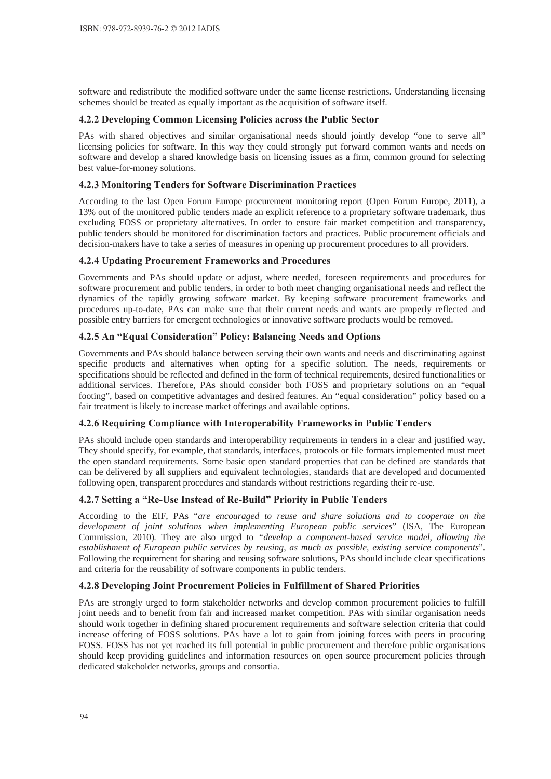software and redistribute the modified software under the same license restrictions. Understanding licensing schemes should be treated as equally important as the acquisition of software itself.

#### **4.2.2 Developing Common Licensing Policies across the Public Sector**

PAs with shared objectives and similar organisational needs should jointly develop "one to serve all" licensing policies for software. In this way they could strongly put forward common wants and needs on software and develop a shared knowledge basis on licensing issues as a firm, common ground for selecting best value-for-money solutions.

#### **4.2.3 Monitoring Tenders for Software Discrimination Practices**

According to the last Open Forum Europe procurement monitoring report (Open Forum Europe, 2011), a 13% out of the monitored public tenders made an explicit reference to a proprietary software trademark, thus excluding FOSS or proprietary alternatives. In order to ensure fair market competition and transparency, public tenders should be monitored for discrimination factors and practices. Public procurement officials and decision-makers have to take a series of measures in opening up procurement procedures to all providers.

### **4.2.4 Updating Procurement Frameworks and Procedures**

Governments and PAs should update or adjust, where needed, foreseen requirements and procedures for software procurement and public tenders, in order to both meet changing organisational needs and reflect the dynamics of the rapidly growing software market. By keeping software procurement frameworks and procedures up-to-date, PAs can make sure that their current needs and wants are properly reflected and possible entry barriers for emergent technologies or innovative software products would be removed.

### **4.2.5 An "Equal Consideration" Policy: Balancing Needs and Options**

Governments and PAs should balance between serving their own wants and needs and discriminating against specific products and alternatives when opting for a specific solution. The needs, requirements or specifications should be reflected and defined in the form of technical requirements, desired functionalities or additional services. Therefore, PAs should consider both FOSS and proprietary solutions on an "equal footing", based on competitive advantages and desired features. An "equal consideration" policy based on a fair treatment is likely to increase market offerings and available options.

#### **4.2.6 Requiring Compliance with Interoperability Frameworks in Public Tenders**

PAs should include open standards and interoperability requirements in tenders in a clear and justified way. They should specify, for example, that standards, interfaces, protocols or file formats implemented must meet the open standard requirements. Some basic open standard properties that can be defined are standards that can be delivered by all suppliers and equivalent technologies, standards that are developed and documented following open, transparent procedures and standards without restrictions regarding their re-use.

### **4.2.7 Setting a "Re-Use Instead of Re-Build" Priority in Public Tenders**

According to the EIF, PAs "*are encouraged to reuse and share solutions and to cooperate on the development of joint solutions when implementing European public services*" (ISA, The European Commission, 2010)*.* They are also urged to *"develop a component-based service model, allowing the establishment of European public services by reusing, as much as possible, existing service components*". Following the requirement for sharing and reusing software solutions, PAs should include clear specifications and criteria for the reusability of software components in public tenders.

#### **4.2.8 Developing Joint Procurement Policies in Fulfillment of Shared Priorities**

PAs are strongly urged to form stakeholder networks and develop common procurement policies to fulfill joint needs and to benefit from fair and increased market competition. PAs with similar organisation needs should work together in defining shared procurement requirements and software selection criteria that could increase offering of FOSS solutions. PAs have a lot to gain from joining forces with peers in procuring FOSS. FOSS has not yet reached its full potential in public procurement and therefore public organisations should keep providing guidelines and information resources on open source procurement policies through dedicated stakeholder networks, groups and consortia.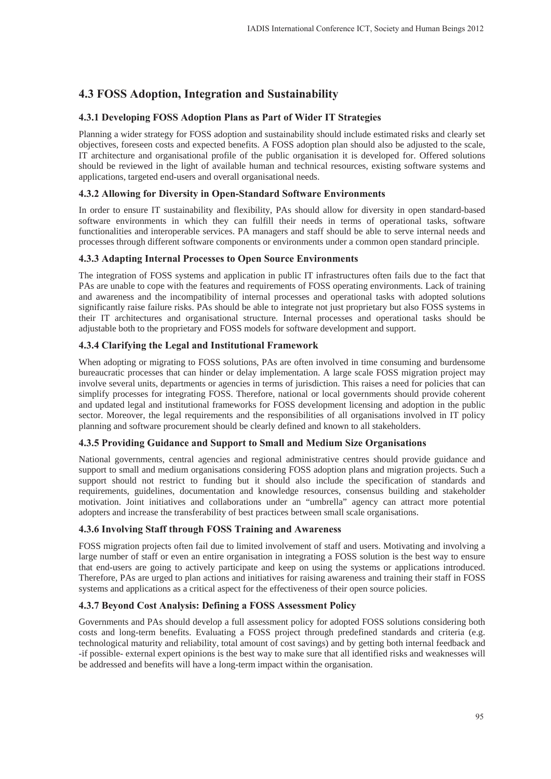# **4.3 FOSS Adoption, Integration and Sustainability**

### **4.3.1 Developing FOSS Adoption Plans as Part of Wider IT Strategies**

Planning a wider strategy for FOSS adoption and sustainability should include estimated risks and clearly set objectives, foreseen costs and expected benefits. A FOSS adoption plan should also be adjusted to the scale, IT architecture and organisational profile of the public organisation it is developed for. Offered solutions should be reviewed in the light of available human and technical resources, existing software systems and applications, targeted end-users and overall organisational needs.

### **4.3.2 Allowing for Diversity in Open-Standard Software Environments**

In order to ensure IT sustainability and flexibility, PAs should allow for diversity in open standard-based software environments in which they can fulfill their needs in terms of operational tasks, software functionalities and interoperable services. PA managers and staff should be able to serve internal needs and processes through different software components or environments under a common open standard principle.

### **4.3.3 Adapting Internal Processes to Open Source Environments**

The integration of FOSS systems and application in public IT infrastructures often fails due to the fact that PAs are unable to cope with the features and requirements of FOSS operating environments. Lack of training and awareness and the incompatibility of internal processes and operational tasks with adopted solutions significantly raise failure risks. PAs should be able to integrate not just proprietary but also FOSS systems in their IT architectures and organisational structure. Internal processes and operational tasks should be adjustable both to the proprietary and FOSS models for software development and support.

### **4.3.4 Clarifying the Legal and Institutional Framework**

When adopting or migrating to FOSS solutions, PAs are often involved in time consuming and burdensome bureaucratic processes that can hinder or delay implementation. A large scale FOSS migration project may involve several units, departments or agencies in terms of jurisdiction. This raises a need for policies that can simplify processes for integrating FOSS. Therefore, national or local governments should provide coherent and updated legal and institutional frameworks for FOSS development licensing and adoption in the public sector. Moreover, the legal requirements and the responsibilities of all organisations involved in IT policy planning and software procurement should be clearly defined and known to all stakeholders.

### **4.3.5 Providing Guidance and Support to Small and Medium Size Organisations**

National governments, central agencies and regional administrative centres should provide guidance and support to small and medium organisations considering FOSS adoption plans and migration projects. Such a support should not restrict to funding but it should also include the specification of standards and requirements, guidelines, documentation and knowledge resources, consensus building and stakeholder motivation. Joint initiatives and collaborations under an "umbrella" agency can attract more potential adopters and increase the transferability of best practices between small scale organisations.

### **4.3.6 Involving Staff through FOSS Training and Awareness**

FOSS migration projects often fail due to limited involvement of staff and users. Motivating and involving a large number of staff or even an entire organisation in integrating a FOSS solution is the best way to ensure that end-users are going to actively participate and keep on using the systems or applications introduced. Therefore, PAs are urged to plan actions and initiatives for raising awareness and training their staff in FOSS systems and applications as a critical aspect for the effectiveness of their open source policies.

### **4.3.7 Beyond Cost Analysis: Defining a FOSS Assessment Policy**

Governments and PAs should develop a full assessment policy for adopted FOSS solutions considering both costs and long-term benefits. Evaluating a FOSS project through predefined standards and criteria (e.g. technological maturity and reliability, total amount of cost savings) and by getting both internal feedback and -if possible- external expert opinions is the best way to make sure that all identified risks and weaknesses will be addressed and benefits will have a long-term impact within the organisation.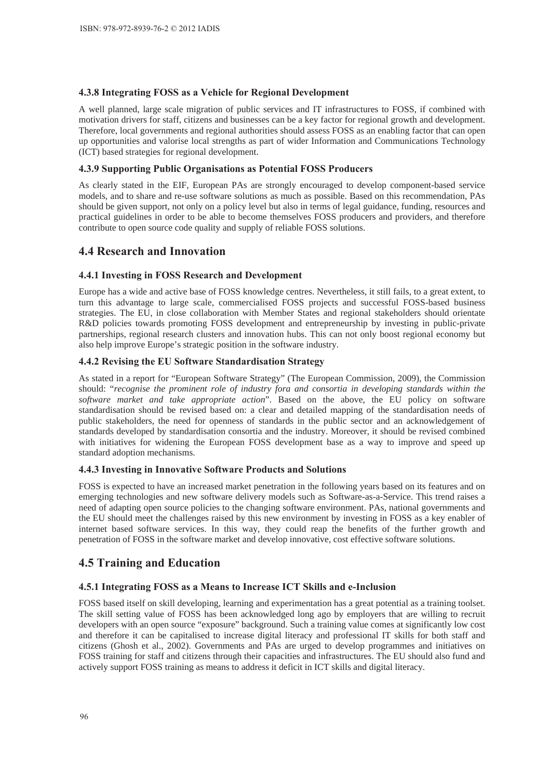### **4.3.8 Integrating FOSS as a Vehicle for Regional Development**

A well planned, large scale migration of public services and IT infrastructures to FOSS, if combined with motivation drivers for staff, citizens and businesses can be a key factor for regional growth and development. Therefore, local governments and regional authorities should assess FOSS as an enabling factor that can open up opportunities and valorise local strengths as part of wider Information and Communications Technology (ICT) based strategies for regional development.

### **4.3.9 Supporting Public Organisations as Potential FOSS Producers**

As clearly stated in the EIF, European PAs are strongly encouraged to develop component-based service models, and to share and re-use software solutions as much as possible. Based on this recommendation, PAs should be given support, not only on a policy level but also in terms of legal guidance, funding, resources and practical guidelines in order to be able to become themselves FOSS producers and providers, and therefore contribute to open source code quality and supply of reliable FOSS solutions.

# **4.4 Research and Innovation**

### **4.4.1 Investing in FOSS Research and Development**

Europe has a wide and active base of FOSS knowledge centres. Nevertheless, it still fails, to a great extent, to turn this advantage to large scale, commercialised FOSS projects and successful FOSS-based business strategies. The EU, in close collaboration with Member States and regional stakeholders should orientate R&D policies towards promoting FOSS development and entrepreneurship by investing in public-private partnerships, regional research clusters and innovation hubs. This can not only boost regional economy but also help improve Europe's strategic position in the software industry.

### **4.4.2 Revising the EU Software Standardisation Strategy**

As stated in a report for "European Software Strategy" (The European Commission, 2009), the Commission should: "*recognise the prominent role of industry fora and consortia in developing standards within the software market and take appropriate action*". Based on the above, the EU policy on software standardisation should be revised based on: a clear and detailed mapping of the standardisation needs of public stakeholders, the need for openness of standards in the public sector and an acknowledgement of standards developed by standardisation consortia and the industry. Moreover, it should be revised combined with initiatives for widening the European FOSS development base as a way to improve and speed up standard adoption mechanisms.

### 4.4.3 Investing in Innovative Software Products and Solutions

FOSS is expected to have an increased market penetration in the following years based on its features and on emerging technologies and new software delivery models such as Software-as-a-Service. This trend raises a need of adapting open source policies to the changing software environment. PAs, national governments and the EU should meet the challenges raised by this new environment by investing in FOSS as a key enabler of internet based software services. In this way, they could reap the benefits of the further growth and penetration of FOSS in the software market and develop innovative, cost effective software solutions.

# **4.5 Training and Education**

### 4.5.1 Integrating FOSS as a Means to Increase ICT Skills and e-Inclusion

FOSS based itself on skill developing, learning and experimentation has a great potential as a training toolset. The skill setting value of FOSS has been acknowledged long ago by employers that are willing to recruit developers with an open source "exposure" background. Such a training value comes at significantly low cost and therefore it can be capitalised to increase digital literacy and professional IT skills for both staff and citizens (Ghosh et al., 2002). Governments and PAs are urged to develop programmes and initiatives on FOSS training for staff and citizens through their capacities and infrastructures. The EU should also fund and actively support FOSS training as means to address it deficit in ICT skills and digital literacy.